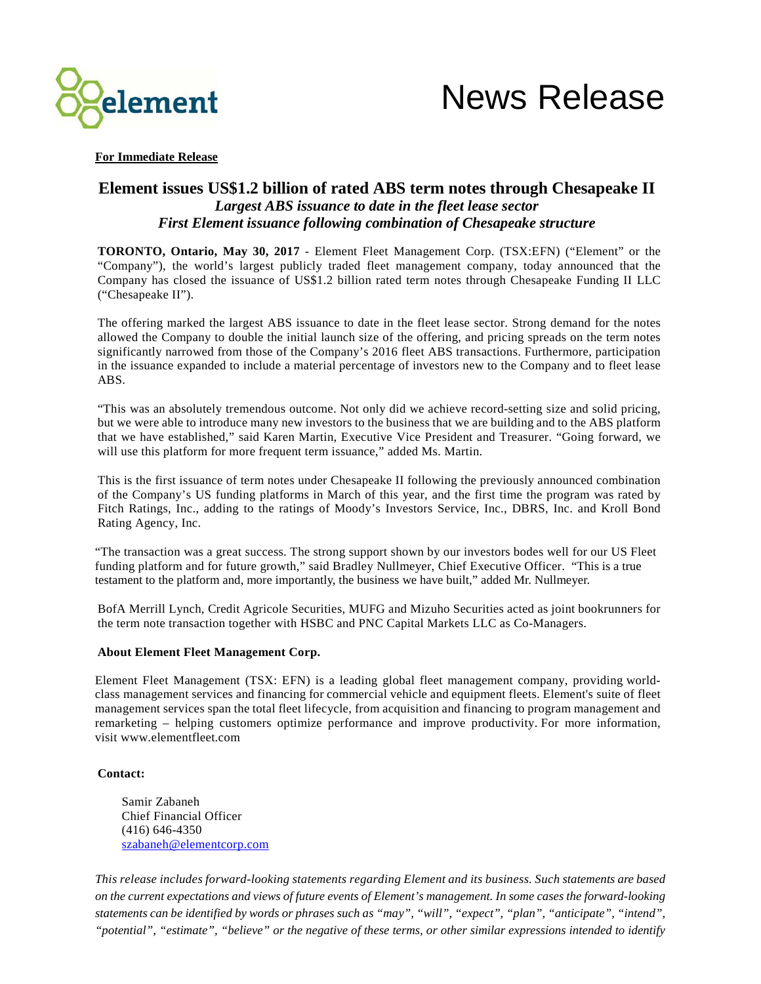



**For Immediate Release**

## **Element issues US\$1.2 billion of rated ABS term notes through Chesapeake II** *Largest ABS issuance to date in the fleet lease sector First Element issuance following combination of Chesapeake structure*

**TORONTO, Ontario, May 30, 2017** - Element Fleet Management Corp. (TSX:EFN) ("Element" or the "Company"), the world's largest publicly traded fleet management company, today announced that the Company has closed the issuance of US\$1.2 billion rated term notes through Chesapeake Funding II LLC ("Chesapeake II").

The offering marked the largest ABS issuance to date in the fleet lease sector. Strong demand for the notes allowed the Company to double the initial launch size of the offering, and pricing spreads on the term notes significantly narrowed from those of the Company's 2016 fleet ABS transactions. Furthermore, participation in the issuance expanded to include a material percentage of investors new to the Company and to fleet lease ABS.

"This was an absolutely tremendous outcome. Not only did we achieve record-setting size and solid pricing, but we were able to introduce many new investors to the business that we are building and to the ABS platform that we have established," said Karen Martin, Executive Vice President and Treasurer. "Going forward, we will use this platform for more frequent term issuance," added Ms. Martin.

This is the first issuance of term notes under Chesapeake II following the previously announced combination of the Company's US funding platforms in March of this year, and the first time the program was rated by Fitch Ratings, Inc., adding to the ratings of Moody's Investors Service, Inc., DBRS, Inc. and Kroll Bond Rating Agency, Inc.

"The transaction was a great success. The strong support shown by our investors bodes well for our US Fleet funding platform and for future growth," said Bradley Nullmeyer, Chief Executive Officer. "This is a true testament to the platform and, more importantly, the business we have built," added Mr. Nullmeyer.

BofA Merrill Lynch, Credit Agricole Securities, MUFG and Mizuho Securities acted as joint bookrunners for the term note transaction together with HSBC and PNC Capital Markets LLC as Co-Managers.

## **About Element Fleet Management Corp.**

Element Fleet Management (TSX: EFN) is a leading global fleet management company, providing worldclass management services and financing for commercial vehicle and equipment fleets. Element's suite of fleet management services span the total fleet lifecycle, from acquisition and financing to program management and remarketing – helping customers optimize performance and improve productivity. For more information, visit [www.elementfleet.com](http://www.elementfleet.com/)

## **Contact:**

Samir Zabaneh Chief Financial Officer (416) 646-4350 [szabaneh@elementcorp.com](mailto:jsadler@elementcorp.com)

*This release includes forward-looking statements regarding Element and its business. Such statements are based on the current expectations and views of future events of Element's management. In some cases the forward-looking statements can be identified by words or phrases such as "may", "will", "expect", "plan", "anticipate", "intend", "potential", "estimate", "believe" or the negative of these terms, or other similar expressions intended to identify*